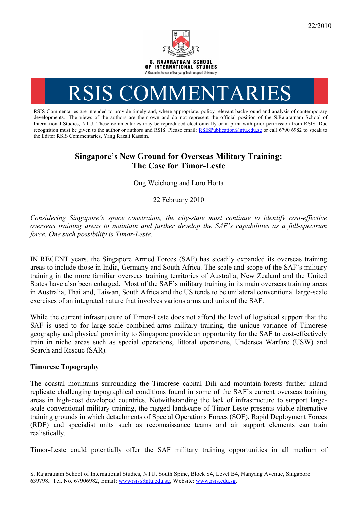

# RSIS COMMENTARIES

RSIS Commentaries are intended to provide timely and, where appropriate, policy relevant background and analysis of contemporary developments. The views of the authors are their own and do not represent the official position of the S.Rajaratnam School of International Studies, NTU. These commentaries may be reproduced electronically or in print with prior permission from RSIS. Due recognition must be given to the author or authors and RSIS. Please email: RSISPublication@ntu.edu.sg or call 6790 6982 to speak to the Editor RSIS Commentaries, Yang Razali Kassim.

## **Singapore's New Ground for Overseas Military Training: The Case for Timor-Leste**

**\_\_\_\_\_\_\_\_\_\_\_\_\_\_\_\_\_\_\_\_\_\_\_\_\_\_\_\_\_\_\_\_\_\_\_\_\_\_\_\_\_\_\_\_\_\_\_\_\_\_\_\_\_\_\_\_\_\_\_\_\_\_\_\_\_\_\_\_\_\_\_\_\_\_\_\_\_\_\_\_\_\_\_\_\_\_\_\_\_\_\_\_\_\_\_\_\_\_**

Ong Weichong and Loro Horta

22 February 2010

*Considering Singapore's space constraints, the city-state must continue to identify cost-effective overseas training areas to maintain and further develop the SAF's capabilities as a full-spectrum force. One such possibility is Timor-Leste.*

IN RECENT years, the Singapore Armed Forces (SAF) has steadily expanded its overseas training areas to include those in India, Germany and South Africa. The scale and scope of the SAF's military training in the more familiar overseas training territories of Australia, New Zealand and the United States have also been enlarged. Most of the SAF's military training in its main overseas training areas in Australia, Thailand, Taiwan, South Africa and the US tends to be unilateral conventional large-scale exercises of an integrated nature that involves various arms and units of the SAF.

While the current infrastructure of Timor-Leste does not afford the level of logistical support that the SAF is used to for large-scale combined-arms military training, the unique variance of Timorese geography and physical proximity to Singapore provide an opportunity for the SAF to cost-effectively train in niche areas such as special operations, littoral operations, Undersea Warfare (USW) and Search and Rescue (SAR).

### **Timorese Topography**

The coastal mountains surrounding the Timorese capital Dili and mountain-forests further inland replicate challenging topographical conditions found in some of the SAF's current overseas training areas in high-cost developed countries. Notwithstanding the lack of infrastructure to support largescale conventional military training, the rugged landscape of Timor Leste presents viable alternative training grounds in which detachments of Special Operations Forces (SOF), Rapid Deployment Forces (RDF) and specialist units such as reconnaissance teams and air support elements can train realistically.

Timor-Leste could potentially offer the SAF military training opportunities in all medium of

\_\_\_\_\_\_\_\_\_\_\_\_\_\_\_\_\_\_\_\_\_\_\_\_\_\_\_\_\_\_\_\_\_\_\_\_\_\_\_\_\_\_\_\_\_\_\_\_\_\_\_\_\_\_\_\_\_\_\_\_\_\_\_\_\_\_\_\_\_\_\_\_\_\_\_\_\_\_\_\_\_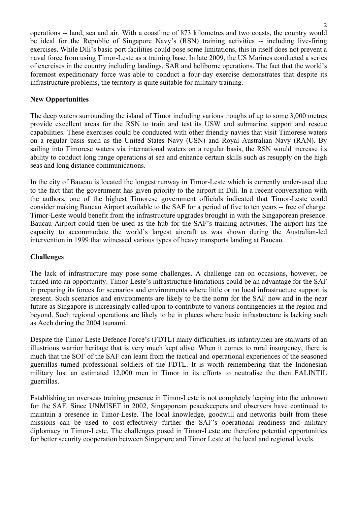operations -- land, sea and air. With a coastline of 873 kilometres and two coasts, the country would be ideal for the Republic of Singapore Navy's (RSN) training activities -- including live-firing exercises. While Dili's basic port facilities could pose some limitations, this in itself does not prevent a naval force from using Timor-Leste as a training base. In late 2009, the US Marines conducted a series of exercises in the country including landings, SAR and heliborne operations. The fact that the world's foremost expeditionary force was able to conduct a four-day exercise demonstrates that despite its infrastructure problems, the territory is quite suitable for military training.

#### **New Opportunities**

The deep waters surrounding the island of Timor including various troughs of up to some 3,000 metres provide excellent areas for the RSN to train and test its USW and submarine support and rescue capabilities. These exercises could be conducted with other friendly navies that visit Timorese waters on a regular basis such as the United States Navy (USN) and Royal Australian Navy (RAN). By sailing into Timorese waters via international waters on a regular basis, the RSN would increase its ability to conduct long range operations at sea and enhance certain skills such as resupply on the high seas and long distance communications.

In the city of Baucau is located the longest runway in Timor-Leste which is currently under-used due to the fact that the government has given priority to the airport in Dili. In a recent conversation with the authors, one of the highest Timorese government officials indicated that Timor-Leste could consider making Baucau Airport available to the SAF for a period of five to ten years -- free of charge. Timor-Leste would benefit from the infrastructure upgrades brought in with the Singaporean presence. Baucau Airport could then be used as the hub for the SAF's training activities. The airport has the capacity to accommodate the world's largest aircraft as was shown during the Australian-led intervention in 1999 that witnessed various types of heavy transports landing at Baucau.

#### **Challenges**

The lack of infrastructure may pose some challenges. A challenge can on occasions, however, be turned into an opportunity. Timor-Leste's infrastructure limitations could be an advantage for the SAF in preparing its forces for scenarios and environments where little or no local infrastructure support is present. Such scenarios and environments are likely to be the norm for the SAF now and in the near future as Singapore is increasingly called upon to contribute to various contingencies in the region and beyond. Such regional operations are likely to be in places where basic infrastructure is lacking such as Aceh during the 2004 tsunami.

Despite the Timor-Leste Defence Force's (FDTL) many difficulties, its infantrymen are stalwarts of an illustrious warrior heritage that is very much kept alive. When it comes to rural insurgency, there is much that the SOF of the SAF can learn from the tactical and operational experiences of the seasoned guerrillas turned professional soldiers of the FDTL. It is worth remembering that the Indonesian military lost an estimated 12,000 men in Timor in its efforts to neutralise the then FALINTIL guerrillas.

Establishing an overseas training presence in Timor-Leste is not completely leaping into the unknown for the SAF. Since UNMISET in 2002, Singaporean peacekeepers and observers have continued to maintain a presence in Timor-Leste. The local knowledge, goodwill and networks built from these missions can be used to cost-effectively further the SAF's operational readiness and military diplomacy in Timor-Leste. The challenges posed in Timor-Leste are therefore potential opportunities for better security cooperation between Singapore and Timor Leste at the local and regional levels.